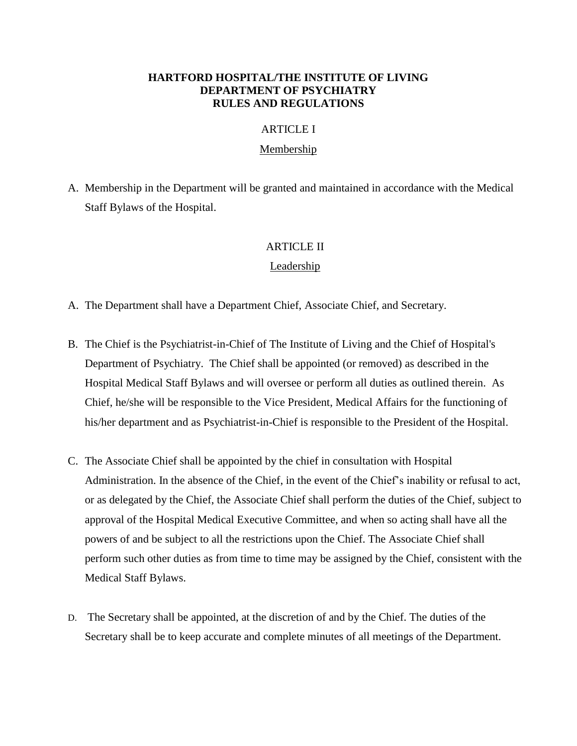### **HARTFORD HOSPITAL/THE INSTITUTE OF LIVING DEPARTMENT OF PSYCHIATRY RULES AND REGULATIONS**

### ARTICLE I

#### Membership

A. Membership in the Department will be granted and maintained in accordance with the Medical Staff Bylaws of the Hospital.

### ARTICLE II

### Leadership

- A. The Department shall have a Department Chief, Associate Chief, and Secretary.
- B. The Chief is the Psychiatrist-in-Chief of The Institute of Living and the Chief of Hospital's Department of Psychiatry. The Chief shall be appointed (or removed) as described in the Hospital Medical Staff Bylaws and will oversee or perform all duties as outlined therein. As Chief, he/she will be responsible to the Vice President, Medical Affairs for the functioning of his/her department and as Psychiatrist-in-Chief is responsible to the President of the Hospital.
- C. The Associate Chief shall be appointed by the chief in consultation with Hospital Administration. In the absence of the Chief, in the event of the Chief's inability or refusal to act, or as delegated by the Chief, the Associate Chief shall perform the duties of the Chief, subject to approval of the Hospital Medical Executive Committee, and when so acting shall have all the powers of and be subject to all the restrictions upon the Chief. The Associate Chief shall perform such other duties as from time to time may be assigned by the Chief, consistent with the Medical Staff Bylaws.
- D. The Secretary shall be appointed, at the discretion of and by the Chief. The duties of the Secretary shall be to keep accurate and complete minutes of all meetings of the Department.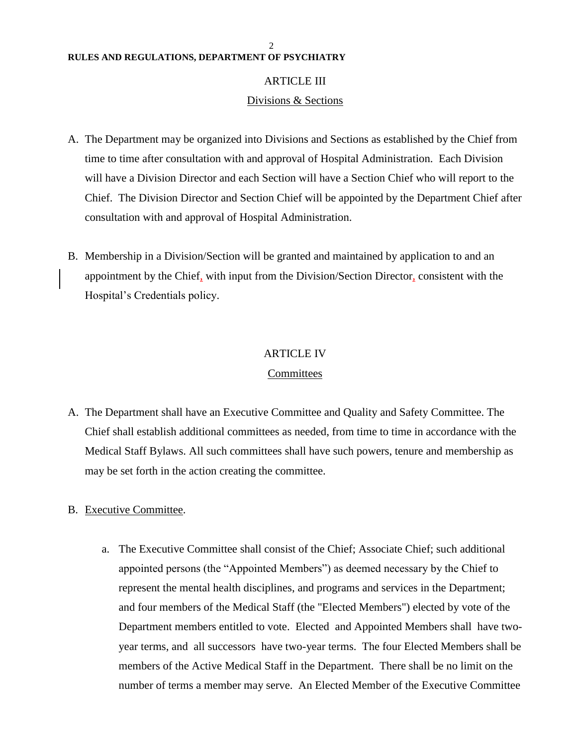#### 2 **RULES AND REGULATIONS, DEPARTMENT OF PSYCHIATRY**

#### ARTICLE III

#### Divisions & Sections

- A. The Department may be organized into Divisions and Sections as established by the Chief from time to time after consultation with and approval of Hospital Administration. Each Division will have a Division Director and each Section will have a Section Chief who will report to the Chief. The Division Director and Section Chief will be appointed by the Department Chief after consultation with and approval of Hospital Administration.
- B. Membership in a Division/Section will be granted and maintained by application to and an appointment by the Chief, with input from the Division/Section Director, consistent with the Hospital's Credentials policy.

#### ARTICLE IV

#### Committees

A. The Department shall have an Executive Committee and Quality and Safety Committee. The Chief shall establish additional committees as needed, from time to time in accordance with the Medical Staff Bylaws. All such committees shall have such powers, tenure and membership as may be set forth in the action creating the committee.

### B. Executive Committee.

a. The Executive Committee shall consist of the Chief; Associate Chief; such additional appointed persons (the "Appointed Members") as deemed necessary by the Chief to represent the mental health disciplines, and programs and services in the Department; and four members of the Medical Staff (the "Elected Members") elected by vote of the Department members entitled to vote. Elected and Appointed Members shall have twoyear terms, and all successors have two-year terms. The four Elected Members shall be members of the Active Medical Staff in the Department. There shall be no limit on the number of terms a member may serve. An Elected Member of the Executive Committee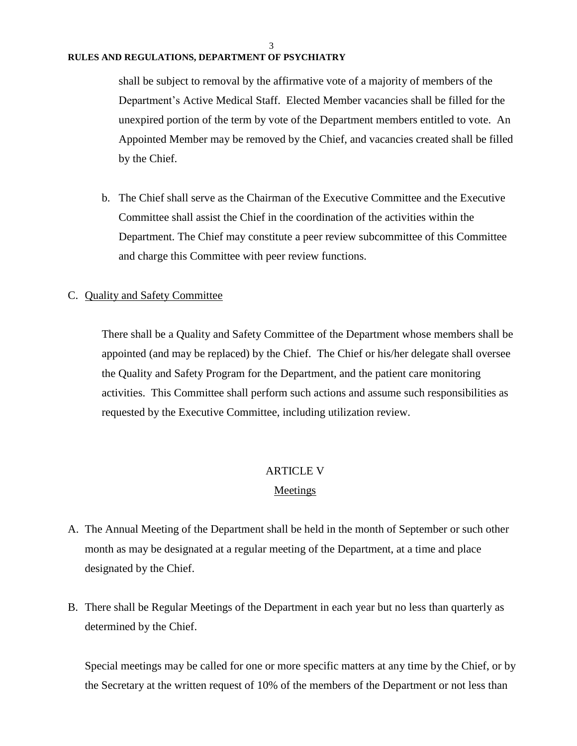#### 3

#### **RULES AND REGULATIONS, DEPARTMENT OF PSYCHIATRY**

shall be subject to removal by the affirmative vote of a majority of members of the Department's Active Medical Staff. Elected Member vacancies shall be filled for the unexpired portion of the term by vote of the Department members entitled to vote. An Appointed Member may be removed by the Chief, and vacancies created shall be filled by the Chief.

b. The Chief shall serve as the Chairman of the Executive Committee and the Executive Committee shall assist the Chief in the coordination of the activities within the Department. The Chief may constitute a peer review subcommittee of this Committee and charge this Committee with peer review functions.

### C. Quality and Safety Committee

There shall be a Quality and Safety Committee of the Department whose members shall be appointed (and may be replaced) by the Chief. The Chief or his/her delegate shall oversee the Quality and Safety Program for the Department, and the patient care monitoring activities. This Committee shall perform such actions and assume such responsibilities as requested by the Executive Committee, including utilization review.

# ARTICLE V

#### Meetings

- A. The Annual Meeting of the Department shall be held in the month of September or such other month as may be designated at a regular meeting of the Department, at a time and place designated by the Chief.
- B. There shall be Regular Meetings of the Department in each year but no less than quarterly as determined by the Chief.

Special meetings may be called for one or more specific matters at any time by the Chief, or by the Secretary at the written request of 10% of the members of the Department or not less than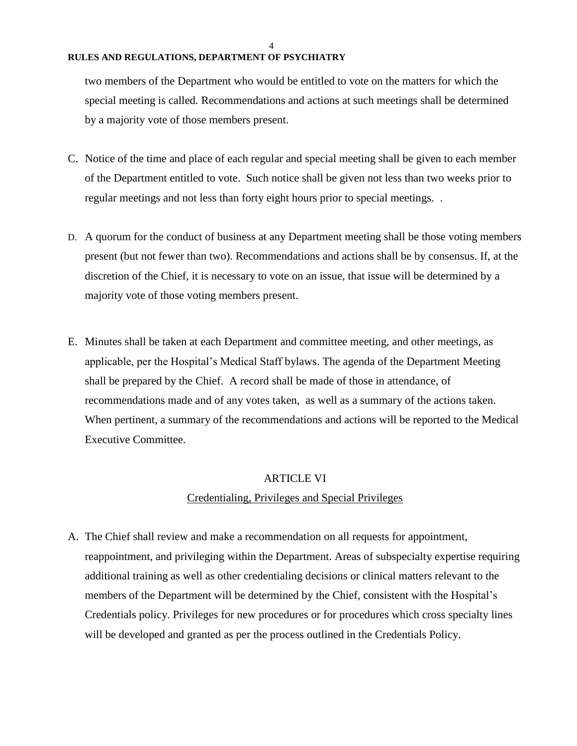#### 4

#### **RULES AND REGULATIONS, DEPARTMENT OF PSYCHIATRY**

two members of the Department who would be entitled to vote on the matters for which the special meeting is called. Recommendations and actions at such meetings shall be determined by a majority vote of those members present.

- C. Notice of the time and place of each regular and special meeting shall be given to each member of the Department entitled to vote. Such notice shall be given not less than two weeks prior to regular meetings and not less than forty eight hours prior to special meetings. .
- D. A quorum for the conduct of business at any Department meeting shall be those voting members present (but not fewer than two). Recommendations and actions shall be by consensus. If, at the discretion of the Chief, it is necessary to vote on an issue, that issue will be determined by a majority vote of those voting members present.
- E. Minutes shall be taken at each Department and committee meeting, and other meetings, as applicable, per the Hospital's Medical Staff bylaws. The agenda of the Department Meeting shall be prepared by the Chief. A record shall be made of those in attendance, of recommendations made and of any votes taken, as well as a summary of the actions taken. When pertinent, a summary of the recommendations and actions will be reported to the Medical Executive Committee.

#### ARTICLE VI

### Credentialing, Privileges and Special Privileges

A. The Chief shall review and make a recommendation on all requests for appointment, reappointment, and privileging within the Department. Areas of subspecialty expertise requiring additional training as well as other credentialing decisions or clinical matters relevant to the members of the Department will be determined by the Chief, consistent with the Hospital's Credentials policy. Privileges for new procedures or for procedures which cross specialty lines will be developed and granted as per the process outlined in the Credentials Policy.